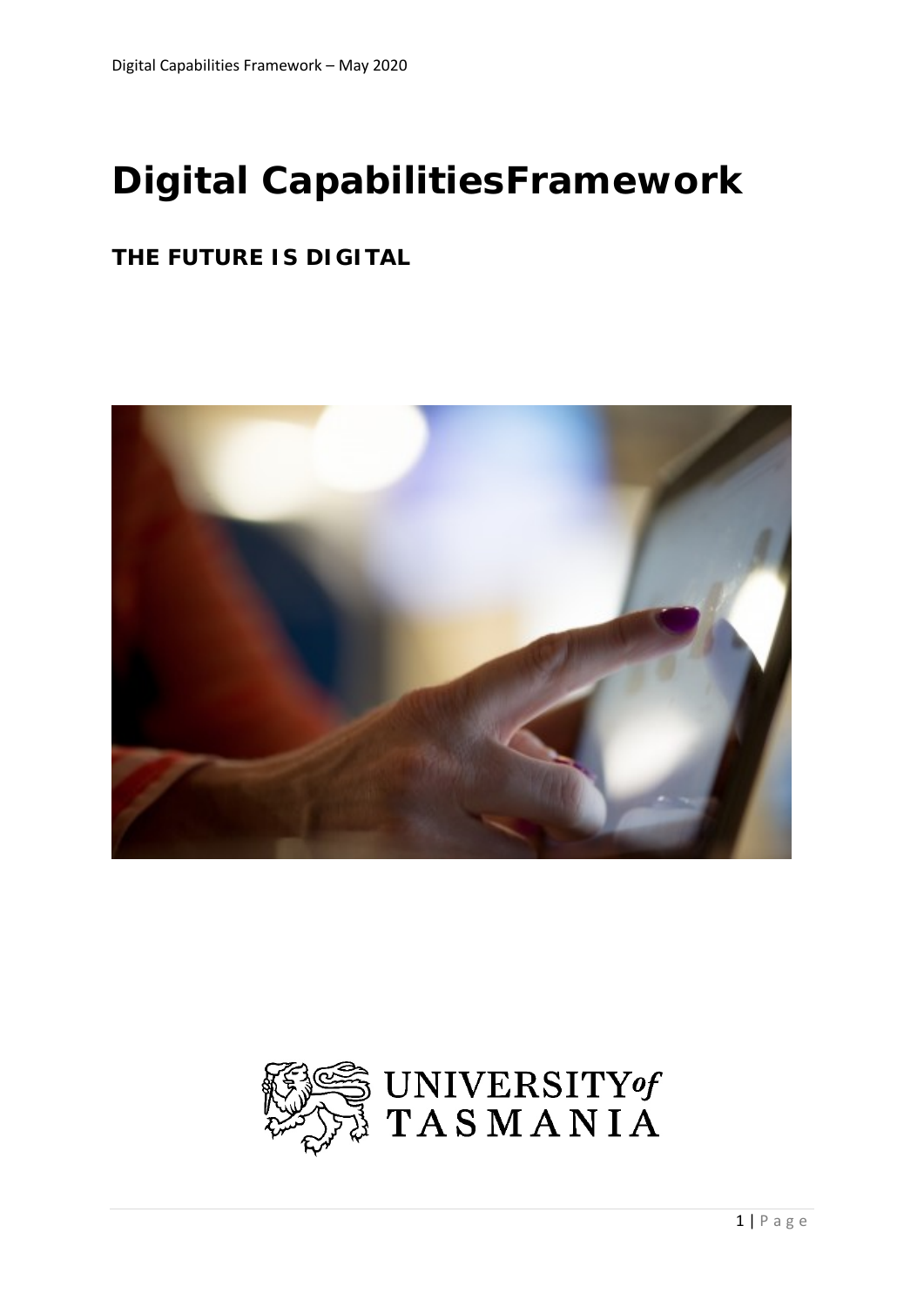

# *Digital CapabilitiesFramework*

### *THE FUTURE IS DIGITAL*



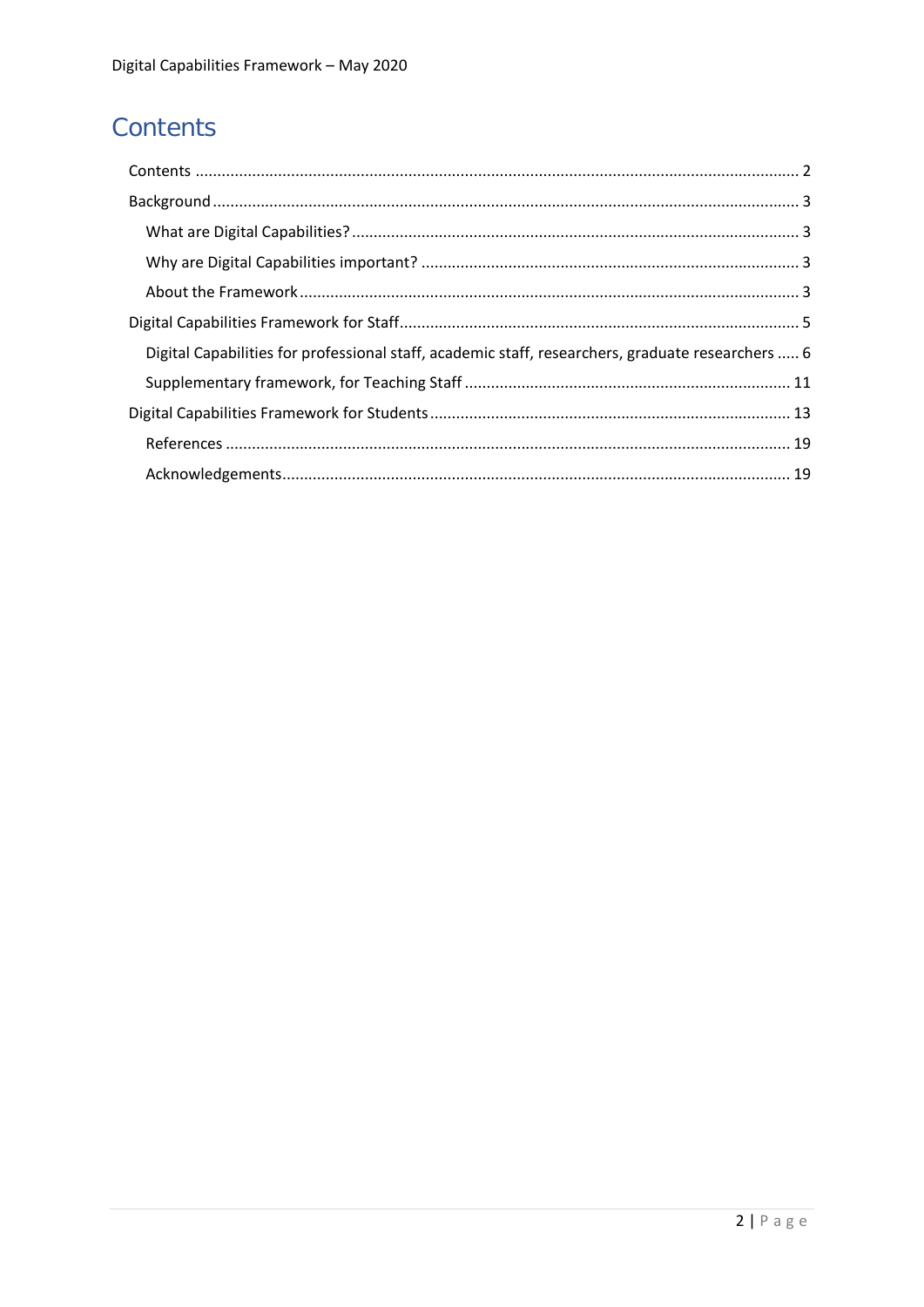# <span id="page-1-0"></span>Contents

| Digital Capabilities for professional staff, academic staff, researchers, graduate researchers  6 |  |
|---------------------------------------------------------------------------------------------------|--|
|                                                                                                   |  |
|                                                                                                   |  |
|                                                                                                   |  |
|                                                                                                   |  |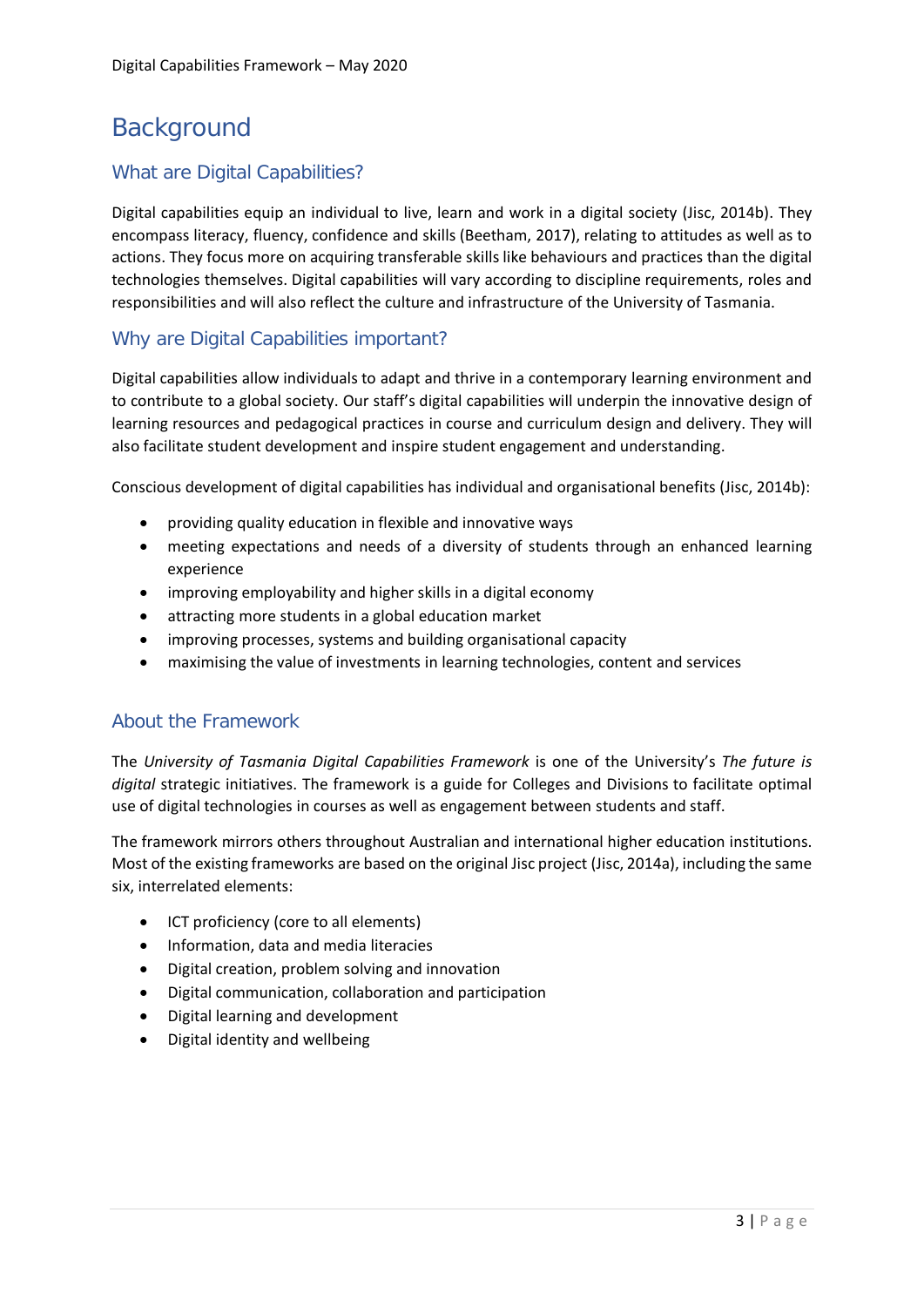### <span id="page-2-0"></span>**Background**

#### <span id="page-2-1"></span>What are Digital Capabilities?

Digital capabilities equip an individual to live, learn and work in a digital society (Jisc, 2014b). They encompass literacy, fluency, confidence and skills (Beetham, 2017), relating to attitudes as well as to actions. They focus more on acquiring transferable skills like behaviours and practices than the digital technologies themselves. Digital capabilities will vary according to discipline requirements, roles and responsibilities and will also reflect the culture and infrastructure of the University of Tasmania.

#### <span id="page-2-2"></span>Why are Digital Capabilities important?

Digital capabilities allow individuals to adapt and thrive in a contemporary learning environment and to contribute to a global society. Our staff's digital capabilities will underpin the innovative design of learning resources and pedagogical practices in course and curriculum design and delivery. They will also facilitate student development and inspire student engagement and understanding.

Conscious development of digital capabilities has individual and organisational benefits (Jisc, 2014b):

- providing quality education in flexible and innovative ways
- meeting expectations and needs of a diversity of students through an enhanced learning experience
- improving employability and higher skills in a digital economy
- attracting more students in a global education market
- improving processes, systems and building organisational capacity
- maximising the value of investments in learning technologies, content and services

#### <span id="page-2-3"></span>About the Framework

The *University of Tasmania Digital Capabilities Framework* is one of the University's *The future is digital* strategic initiatives. The framework is a guide for Colleges and Divisions to facilitate optimal use of digital technologies in courses as well as engagement between students and staff.

The framework mirrors others throughout Australian and international higher education institutions. Most of the existing frameworks are based on the original Jisc project (Jisc, 2014a), including the same six, interrelated elements:

- ICT proficiency (core to all elements)
- Information, data and media literacies
- Digital creation, problem solving and innovation
- Digital communication, collaboration and participation
- Digital learning and development
- Digital identity and wellbeing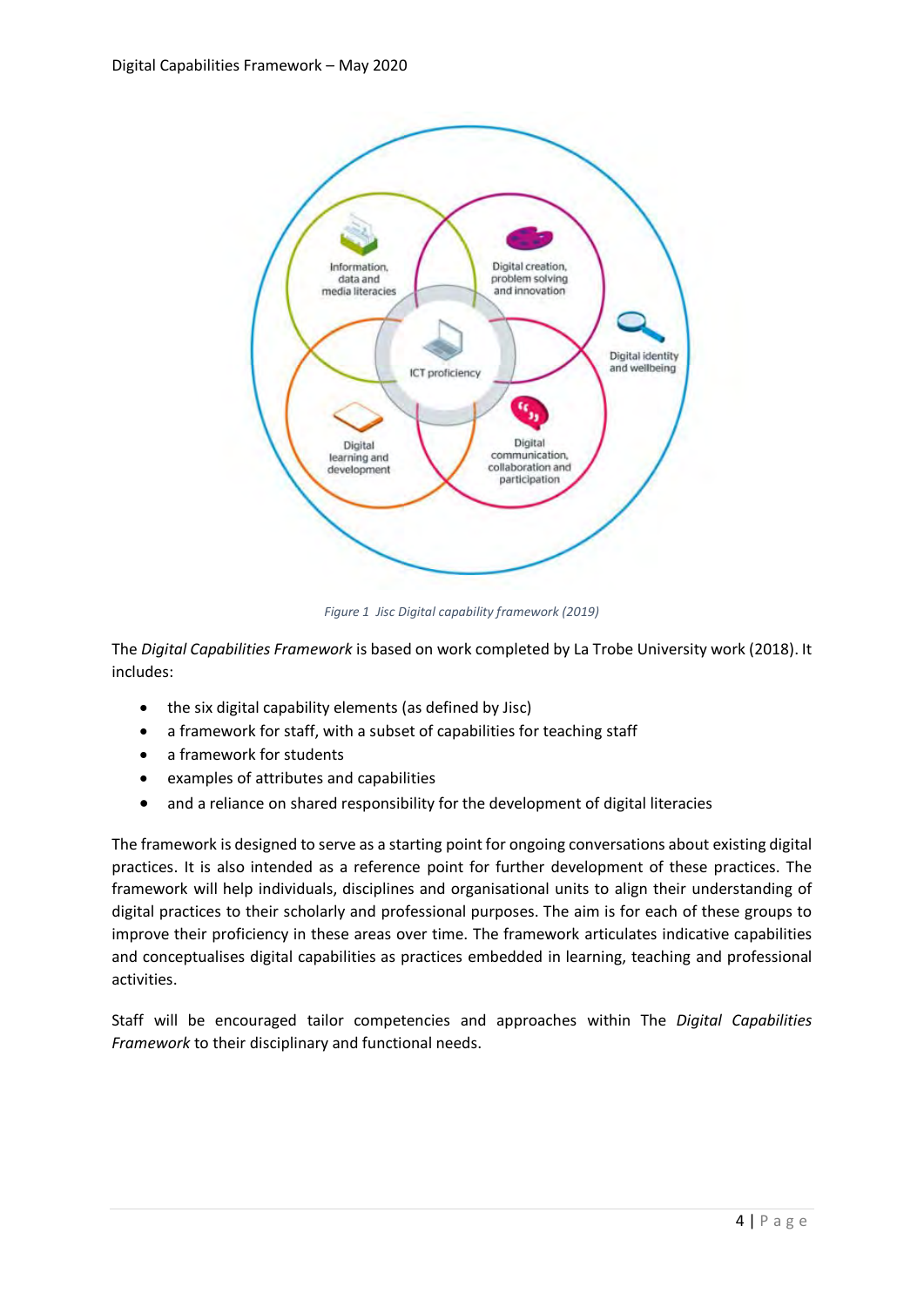

*Figure 1 Jisc Digital capability framework (2019)*

The *Digital Capabilities Framework* is based on work completed by La Trobe University work (2018). It includes:

- the six digital capability elements (as defined by Jisc)
- a framework for staff, with a subset of capabilities for teaching staff
- a framework for students
- examples of attributes and capabilities
- and a reliance on shared responsibility for the development of digital literacies

The framework is designed to serve as a starting point for ongoing conversations about existing digital practices. It is also intended as a reference point for further development of these practices. The framework will help individuals, disciplines and organisational units to align their understanding of digital practices to their scholarly and professional purposes. The aim is for each of these groups to improve their proficiency in these areas over time. The framework articulates indicative capabilities and conceptualises digital capabilities as practices embedded in learning, teaching and professional activities.

Staff will be encouraged tailor competencies and approaches within The *Digital Capabilities Framework* to their disciplinary and functional needs.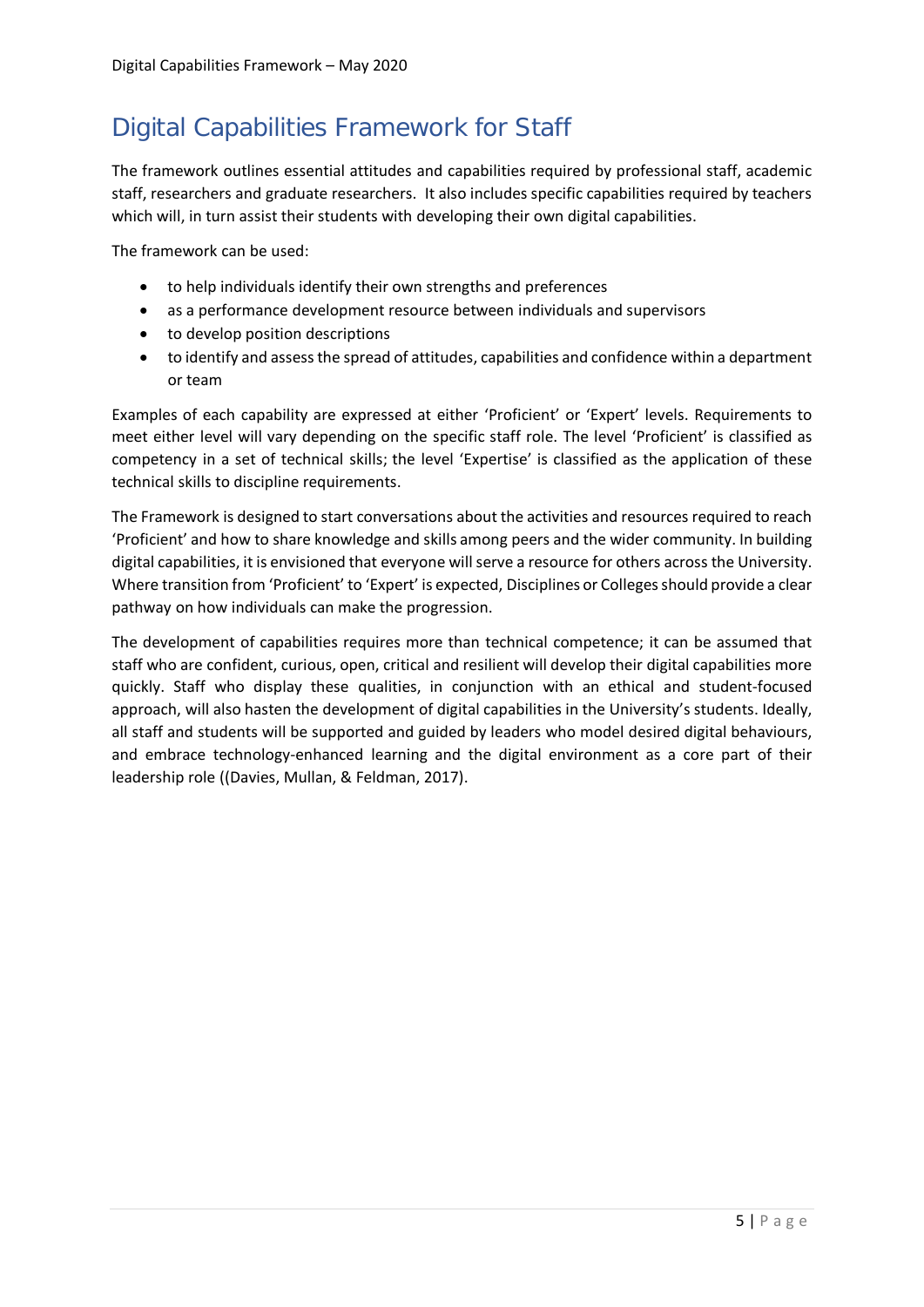## <span id="page-4-0"></span>Digital Capabilities Framework for Staff

The framework outlines essential attitudes and capabilities required by professional staff, academic staff, researchers and graduate researchers. It also includes specific capabilities required by teachers which will, in turn assist their students with developing their own digital capabilities.

The framework can be used:

- to help individuals identify their own strengths and preferences
- as a performance development resource between individuals and supervisors
- to develop position descriptions
- to identify and assess the spread of attitudes, capabilities and confidence within a department or team

Examples of each capability are expressed at either 'Proficient' or 'Expert' levels. Requirements to meet either level will vary depending on the specific staff role. The level 'Proficient' is classified as competency in a set of technical skills; the level 'Expertise' is classified as the application of these technical skills to discipline requirements.

The Framework is designed to start conversations about the activities and resources required to reach 'Proficient' and how to share knowledge and skills among peers and the wider community. In building digital capabilities, it is envisioned that everyone will serve a resource for others across the University. Where transition from 'Proficient' to 'Expert' is expected, Disciplines or Colleges should provide a clear pathway on how individuals can make the progression.

The development of capabilities requires more than technical competence; it can be assumed that staff who are confident, curious, open, critical and resilient will develop their digital capabilities more quickly. Staff who display these qualities, in conjunction with an ethical and student-focused approach, will also hasten the development of digital capabilities in the University's students. Ideally, all staff and students will be supported and guided by leaders who model desired digital behaviours, and embrace technology-enhanced learning and the digital environment as a core part of their leadership role ((Davies, Mullan, & Feldman, 2017).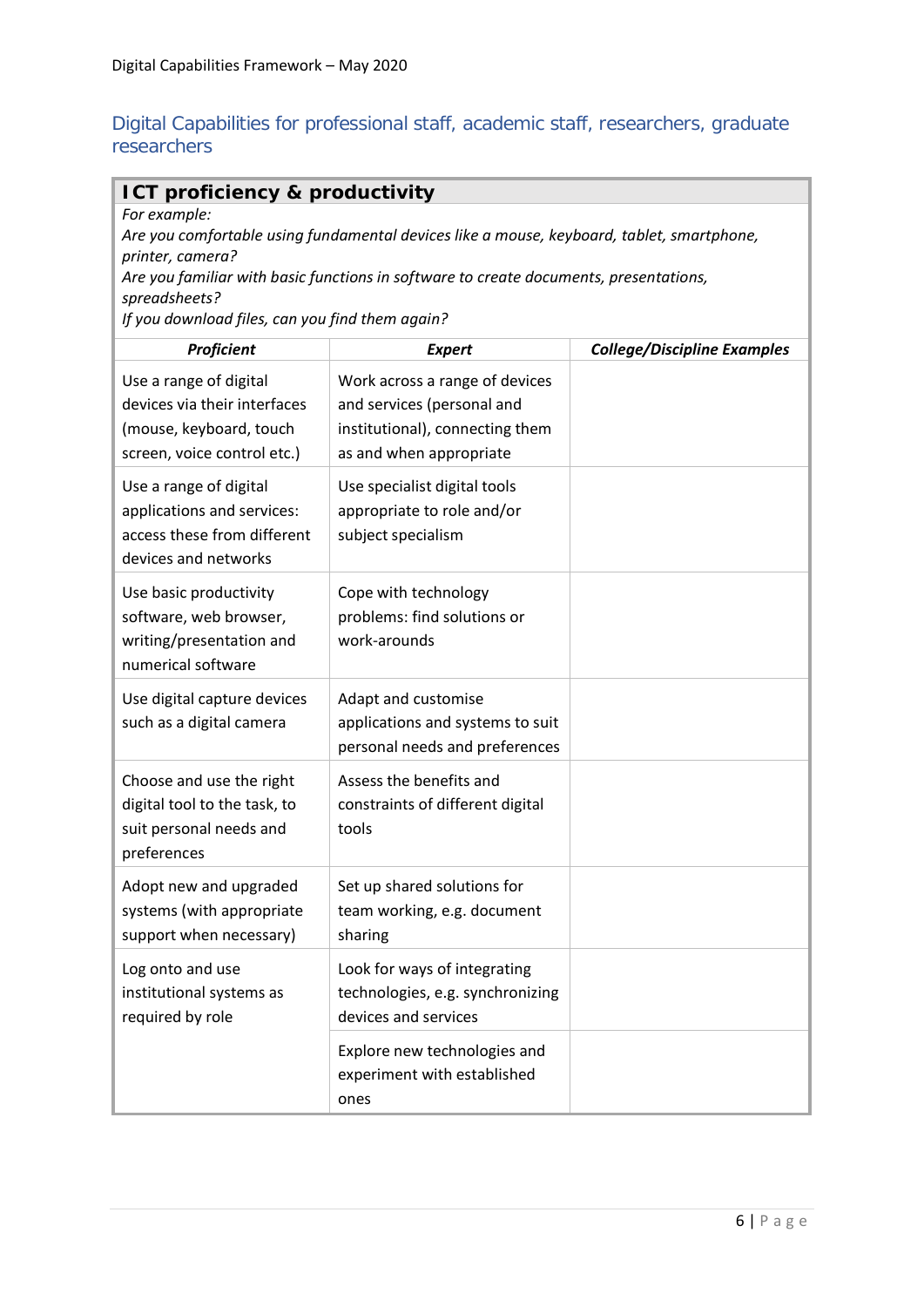#### <span id="page-5-0"></span>Digital Capabilities for professional staff, academic staff, researchers, graduate researchers

#### **ICT proficiency & productivity**

*For example:*

*Are you comfortable using fundamental devices like a mouse, keyboard, tablet, smartphone, printer, camera?*

*Are you familiar with basic functions in software to create documents, presentations, spreadsheets?*

*If you download files, can you find them again?*

| Proficient                                                                                                       | <b>Expert</b>                                                                                                              | <b>College/Discipline Examples</b> |
|------------------------------------------------------------------------------------------------------------------|----------------------------------------------------------------------------------------------------------------------------|------------------------------------|
| Use a range of digital<br>devices via their interfaces<br>(mouse, keyboard, touch<br>screen, voice control etc.) | Work across a range of devices<br>and services (personal and<br>institutional), connecting them<br>as and when appropriate |                                    |
| Use a range of digital<br>applications and services:<br>access these from different<br>devices and networks      | Use specialist digital tools<br>appropriate to role and/or<br>subject specialism                                           |                                    |
| Use basic productivity<br>software, web browser,<br>writing/presentation and<br>numerical software               | Cope with technology<br>problems: find solutions or<br>work-arounds                                                        |                                    |
| Use digital capture devices<br>such as a digital camera                                                          | Adapt and customise<br>applications and systems to suit<br>personal needs and preferences                                  |                                    |
| Choose and use the right<br>digital tool to the task, to<br>suit personal needs and<br>preferences               | Assess the benefits and<br>constraints of different digital<br>tools                                                       |                                    |
| Adopt new and upgraded<br>systems (with appropriate<br>support when necessary)                                   | Set up shared solutions for<br>team working, e.g. document<br>sharing                                                      |                                    |
| Log onto and use<br>institutional systems as<br>required by role                                                 | Look for ways of integrating<br>technologies, e.g. synchronizing<br>devices and services                                   |                                    |
|                                                                                                                  | Explore new technologies and<br>experiment with established<br>ones                                                        |                                    |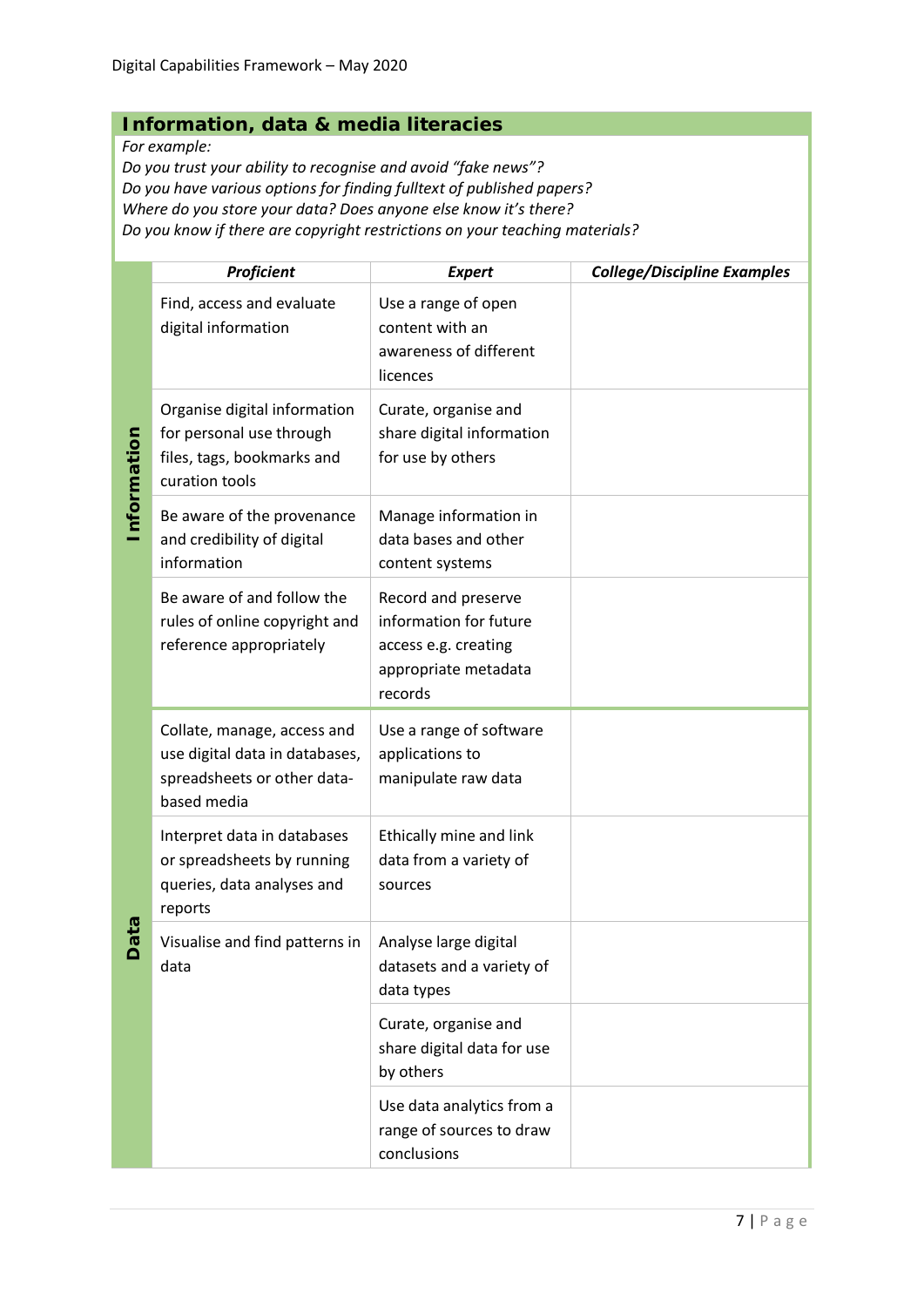#### **Information, data & media literacies**

*For example:*

*Do you trust your ability to recognise and avoid "fake news"? Do you have various options for finding fulltext of published papers? Where do you store your data? Does anyone else know it's there? Do you know if there are copyright restrictions on your teaching materials?*

|             | <b>Proficient</b>                                                                                           | <b>Expert</b>                                                                                            | <b>College/Discipline Examples</b> |
|-------------|-------------------------------------------------------------------------------------------------------------|----------------------------------------------------------------------------------------------------------|------------------------------------|
|             | Find, access and evaluate<br>digital information                                                            | Use a range of open<br>content with an<br>awareness of different<br>licences                             |                                    |
| Information | Organise digital information<br>for personal use through<br>files, tags, bookmarks and<br>curation tools    | Curate, organise and<br>share digital information<br>for use by others                                   |                                    |
|             | Be aware of the provenance<br>and credibility of digital<br>information                                     | Manage information in<br>data bases and other<br>content systems                                         |                                    |
|             | Be aware of and follow the<br>rules of online copyright and<br>reference appropriately                      | Record and preserve<br>information for future<br>access e.g. creating<br>appropriate metadata<br>records |                                    |
|             | Collate, manage, access and<br>use digital data in databases,<br>spreadsheets or other data-<br>based media | Use a range of software<br>applications to<br>manipulate raw data                                        |                                    |
|             | Interpret data in databases<br>or spreadsheets by running<br>queries, data analyses and<br>reports          | Ethically mine and link<br>data from a variety of<br>sources                                             |                                    |
| <b>Data</b> | Visualise and find patterns in<br>data                                                                      | Analyse large digital<br>datasets and a variety of<br>data types                                         |                                    |
|             |                                                                                                             | Curate, organise and<br>share digital data for use<br>by others                                          |                                    |
|             |                                                                                                             | Use data analytics from a<br>range of sources to draw<br>conclusions                                     |                                    |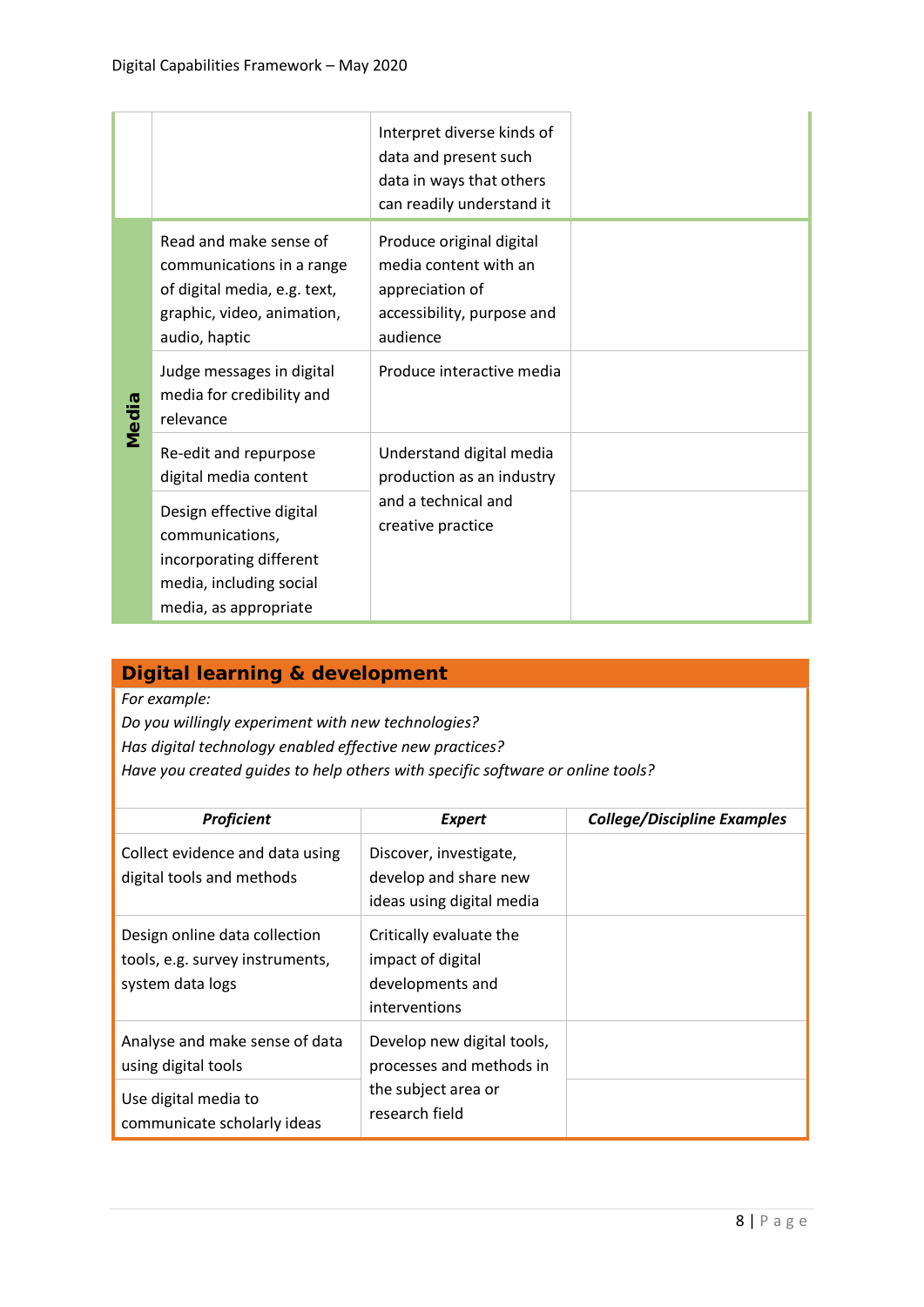|       |                                                                                                                                    | Interpret diverse kinds of<br>data and present such<br>data in ways that others<br>can readily understand it   |  |
|-------|------------------------------------------------------------------------------------------------------------------------------------|----------------------------------------------------------------------------------------------------------------|--|
|       | Read and make sense of<br>communications in a range<br>of digital media, e.g. text,<br>graphic, video, animation,<br>audio, haptic | Produce original digital<br>media content with an<br>appreciation of<br>accessibility, purpose and<br>audience |  |
| Media | Judge messages in digital<br>media for credibility and<br>relevance                                                                | Produce interactive media                                                                                      |  |
|       | Re-edit and repurpose<br>digital media content                                                                                     | Understand digital media<br>production as an industry                                                          |  |
|       | Design effective digital<br>communications,<br>incorporating different<br>media, including social<br>media, as appropriate         | and a technical and<br>creative practice                                                                       |  |

### **Digital learning & development**

*For example:*

*Do you willingly experiment with new technologies? Has digital technology enabled effective new practices? Have you created guides to help others with specific software or online tools?*

| Proficient                                                                           | <b>Expert</b>                                                                     | <b>College/Discipline Examples</b> |
|--------------------------------------------------------------------------------------|-----------------------------------------------------------------------------------|------------------------------------|
| Collect evidence and data using<br>digital tools and methods                         | Discover, investigate,<br>develop and share new<br>ideas using digital media      |                                    |
| Design online data collection<br>tools, e.g. survey instruments,<br>system data logs | Critically evaluate the<br>impact of digital<br>developments and<br>interventions |                                    |
| Analyse and make sense of data<br>using digital tools                                | Develop new digital tools,<br>processes and methods in                            |                                    |
| Use digital media to<br>communicate scholarly ideas                                  | the subject area or<br>research field                                             |                                    |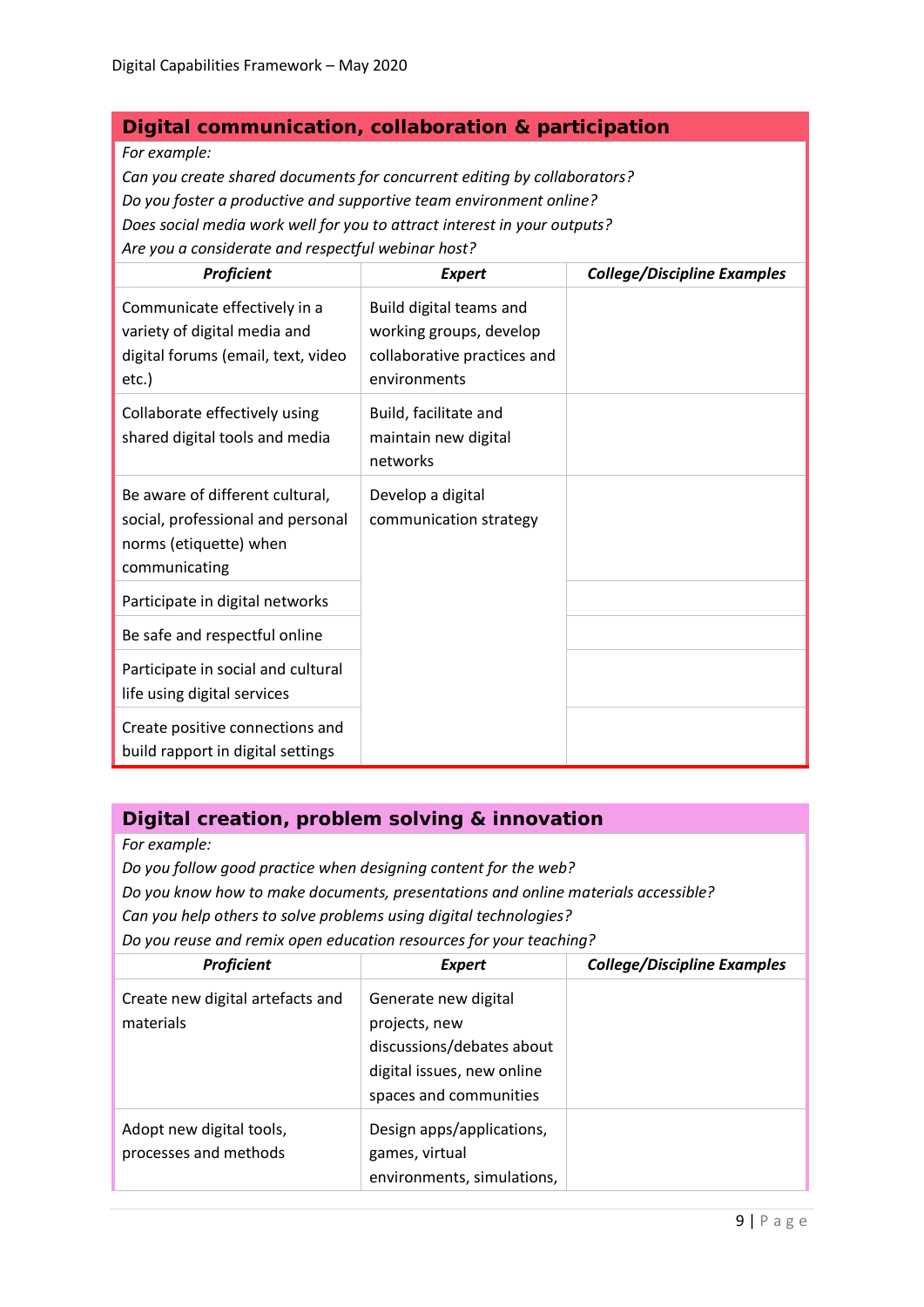#### **Digital communication, collaboration & participation**

*For example:*

*Can you create shared documents for concurrent editing by collaborators? Do you foster a productive and supportive team environment online? Does social media work well for you to attract interest in your outputs? Are you a considerate and respectful webinar host?*

| Proficient                                                                                                      | <b>Expert</b>                                                                                     | <b>College/Discipline Examples</b> |
|-----------------------------------------------------------------------------------------------------------------|---------------------------------------------------------------------------------------------------|------------------------------------|
| Communicate effectively in a<br>variety of digital media and<br>digital forums (email, text, video<br>etc.)     | Build digital teams and<br>working groups, develop<br>collaborative practices and<br>environments |                                    |
| Collaborate effectively using<br>shared digital tools and media                                                 | Build, facilitate and<br>maintain new digital<br>networks                                         |                                    |
| Be aware of different cultural,<br>social, professional and personal<br>norms (etiquette) when<br>communicating | Develop a digital<br>communication strategy                                                       |                                    |
| Participate in digital networks                                                                                 |                                                                                                   |                                    |
| Be safe and respectful online                                                                                   |                                                                                                   |                                    |
| Participate in social and cultural<br>life using digital services                                               |                                                                                                   |                                    |
| Create positive connections and<br>build rapport in digital settings                                            |                                                                                                   |                                    |

#### **Digital creation, problem solving & innovation**

*For example:*

*Do you follow good practice when designing content for the web?* 

*Do you know how to make documents, presentations and online materials accessible?* 

*Can you help others to solve problems using digital technologies?* 

*Do you reuse and remix open education resources for your teaching?*

| Proficient                                        | <b>Expert</b>                                                                                                              | <b>College/Discipline Examples</b> |
|---------------------------------------------------|----------------------------------------------------------------------------------------------------------------------------|------------------------------------|
| Create new digital artefacts and<br>materials     | Generate new digital<br>projects, new<br>discussions/debates about<br>digital issues, new online<br>spaces and communities |                                    |
| Adopt new digital tools,<br>processes and methods | Design apps/applications,<br>games, virtual<br>environments, simulations,                                                  |                                    |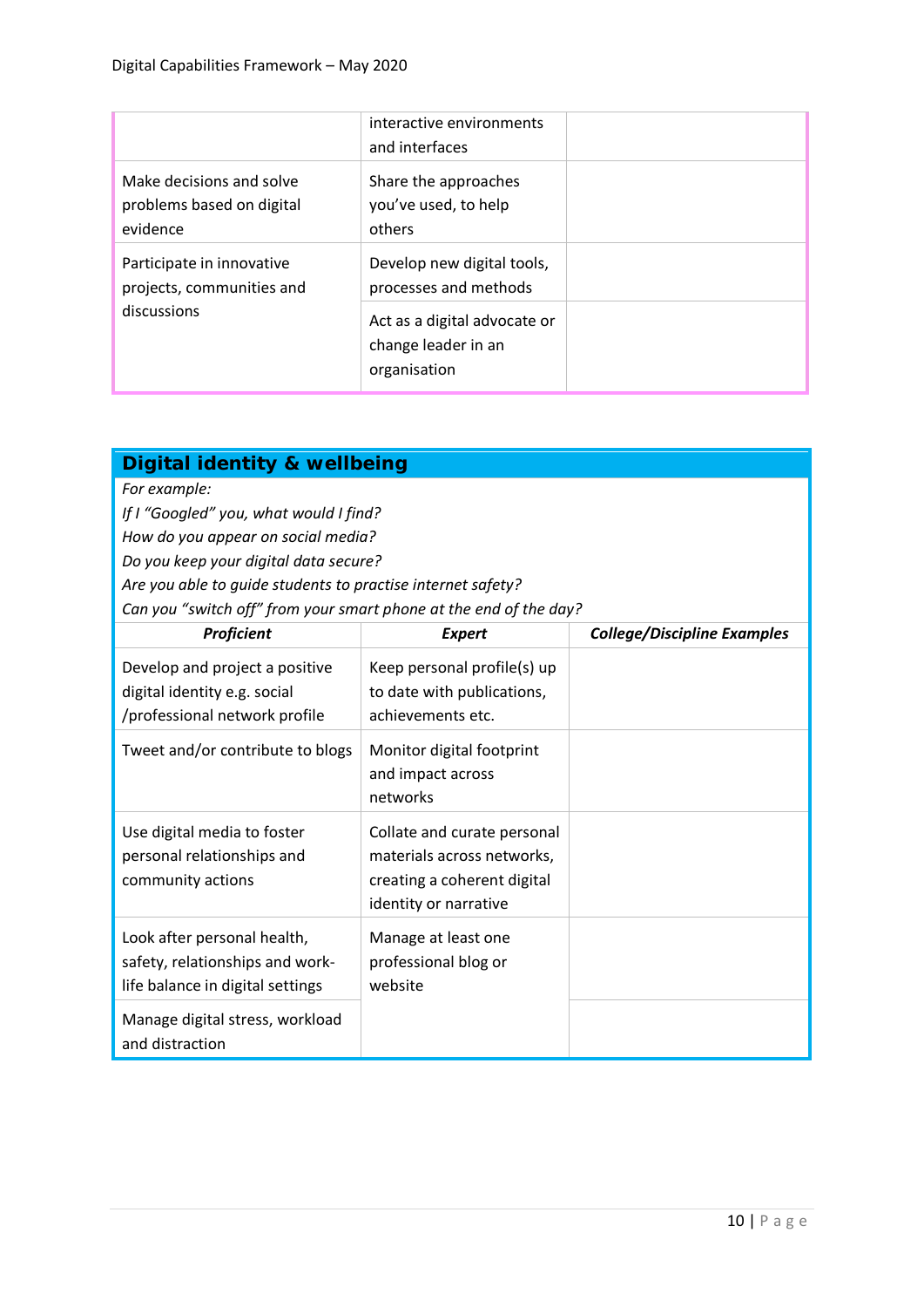|                                                                   | interactive environments<br>and interfaces                          |  |
|-------------------------------------------------------------------|---------------------------------------------------------------------|--|
| Make decisions and solve<br>problems based on digital<br>evidence | Share the approaches<br>you've used, to help<br>others              |  |
| Participate in innovative<br>projects, communities and            | Develop new digital tools,<br>processes and methods                 |  |
| discussions                                                       | Act as a digital advocate or<br>change leader in an<br>organisation |  |

#### **Digital identity & wellbeing**

*For example:*

*If I "Googled" you, what would I find?* 

*How do you appear on social media?* 

*Do you keep your digital data secure?* 

*Are you able to guide students to practise internet safety?* 

*Can you "switch off" from your smart phone at the end of the day?*

| Proficient                                                                                         | <b>Expert</b>                                                                                                     | <b>College/Discipline Examples</b> |
|----------------------------------------------------------------------------------------------------|-------------------------------------------------------------------------------------------------------------------|------------------------------------|
| Develop and project a positive<br>digital identity e.g. social<br>/professional network profile    | Keep personal profile(s) up<br>to date with publications,<br>achievements etc.                                    |                                    |
| Tweet and/or contribute to blogs                                                                   | Monitor digital footprint<br>and impact across<br>networks                                                        |                                    |
| Use digital media to foster<br>personal relationships and<br>community actions                     | Collate and curate personal<br>materials across networks,<br>creating a coherent digital<br>identity or narrative |                                    |
| Look after personal health,<br>safety, relationships and work-<br>life balance in digital settings | Manage at least one<br>professional blog or<br>website                                                            |                                    |
| Manage digital stress, workload<br>and distraction                                                 |                                                                                                                   |                                    |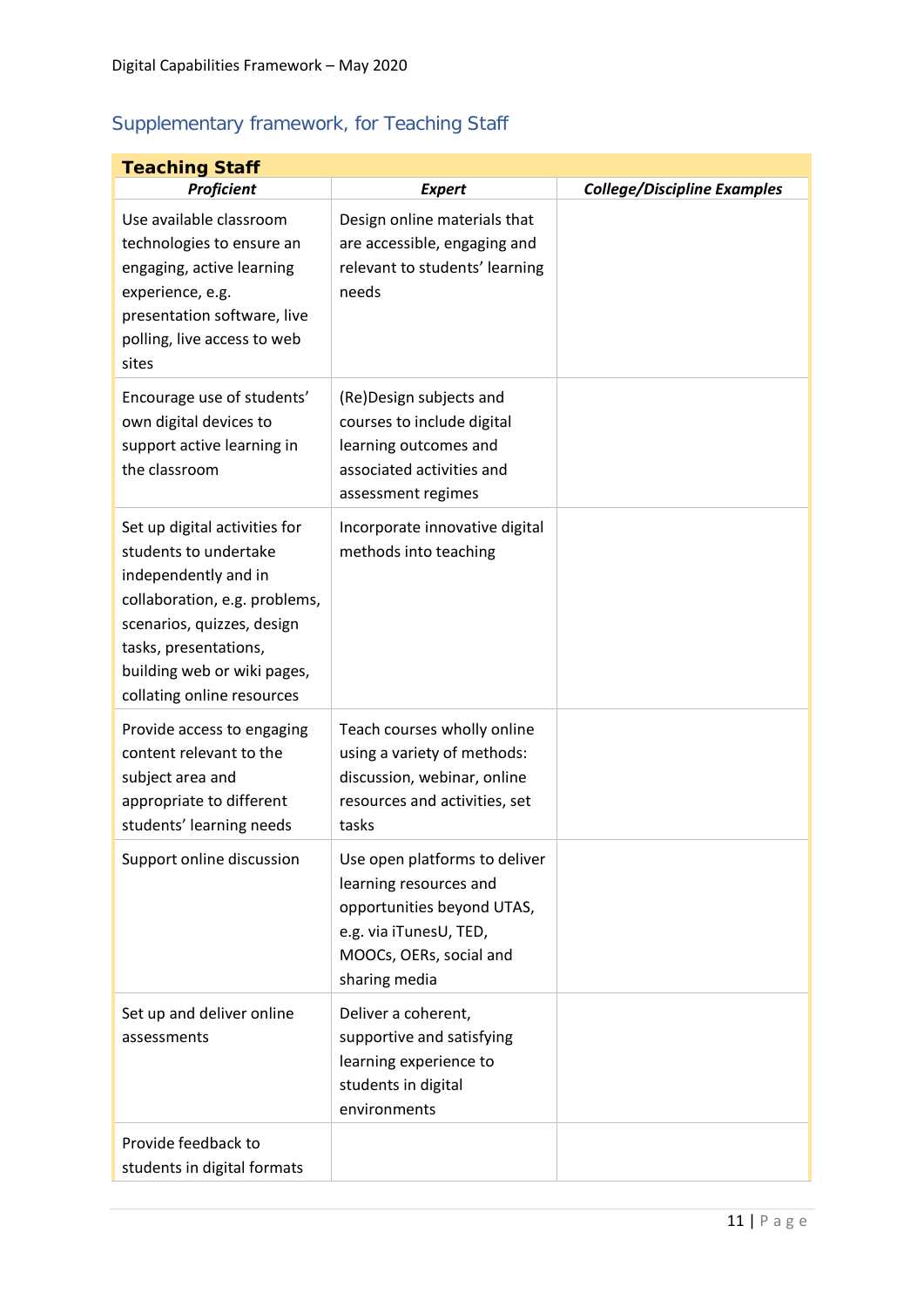### <span id="page-10-0"></span>Supplementary framework, for Teaching Staff

| <b>Teaching Staff</b>                                                                                                                                                                                                               |                                                                                                                                                             |                                    |  |
|-------------------------------------------------------------------------------------------------------------------------------------------------------------------------------------------------------------------------------------|-------------------------------------------------------------------------------------------------------------------------------------------------------------|------------------------------------|--|
| Proficient                                                                                                                                                                                                                          | <b>Expert</b>                                                                                                                                               | <b>College/Discipline Examples</b> |  |
| Use available classroom<br>technologies to ensure an<br>engaging, active learning<br>experience, e.g.<br>presentation software, live<br>polling, live access to web<br>sites                                                        | Design online materials that<br>are accessible, engaging and<br>relevant to students' learning<br>needs                                                     |                                    |  |
| Encourage use of students'<br>own digital devices to<br>support active learning in<br>the classroom                                                                                                                                 | (Re)Design subjects and<br>courses to include digital<br>learning outcomes and<br>associated activities and<br>assessment regimes                           |                                    |  |
| Set up digital activities for<br>students to undertake<br>independently and in<br>collaboration, e.g. problems,<br>scenarios, quizzes, design<br>tasks, presentations,<br>building web or wiki pages,<br>collating online resources | Incorporate innovative digital<br>methods into teaching                                                                                                     |                                    |  |
| Provide access to engaging<br>content relevant to the<br>subject area and<br>appropriate to different<br>students' learning needs                                                                                                   | Teach courses wholly online<br>using a variety of methods:<br>discussion, webinar, online<br>resources and activities, set<br>tasks                         |                                    |  |
| Support online discussion                                                                                                                                                                                                           | Use open platforms to deliver<br>learning resources and<br>opportunities beyond UTAS,<br>e.g. via iTunesU, TED,<br>MOOCs, OERs, social and<br>sharing media |                                    |  |
| Set up and deliver online<br>assessments                                                                                                                                                                                            | Deliver a coherent,<br>supportive and satisfying<br>learning experience to<br>students in digital<br>environments                                           |                                    |  |
| Provide feedback to<br>students in digital formats                                                                                                                                                                                  |                                                                                                                                                             |                                    |  |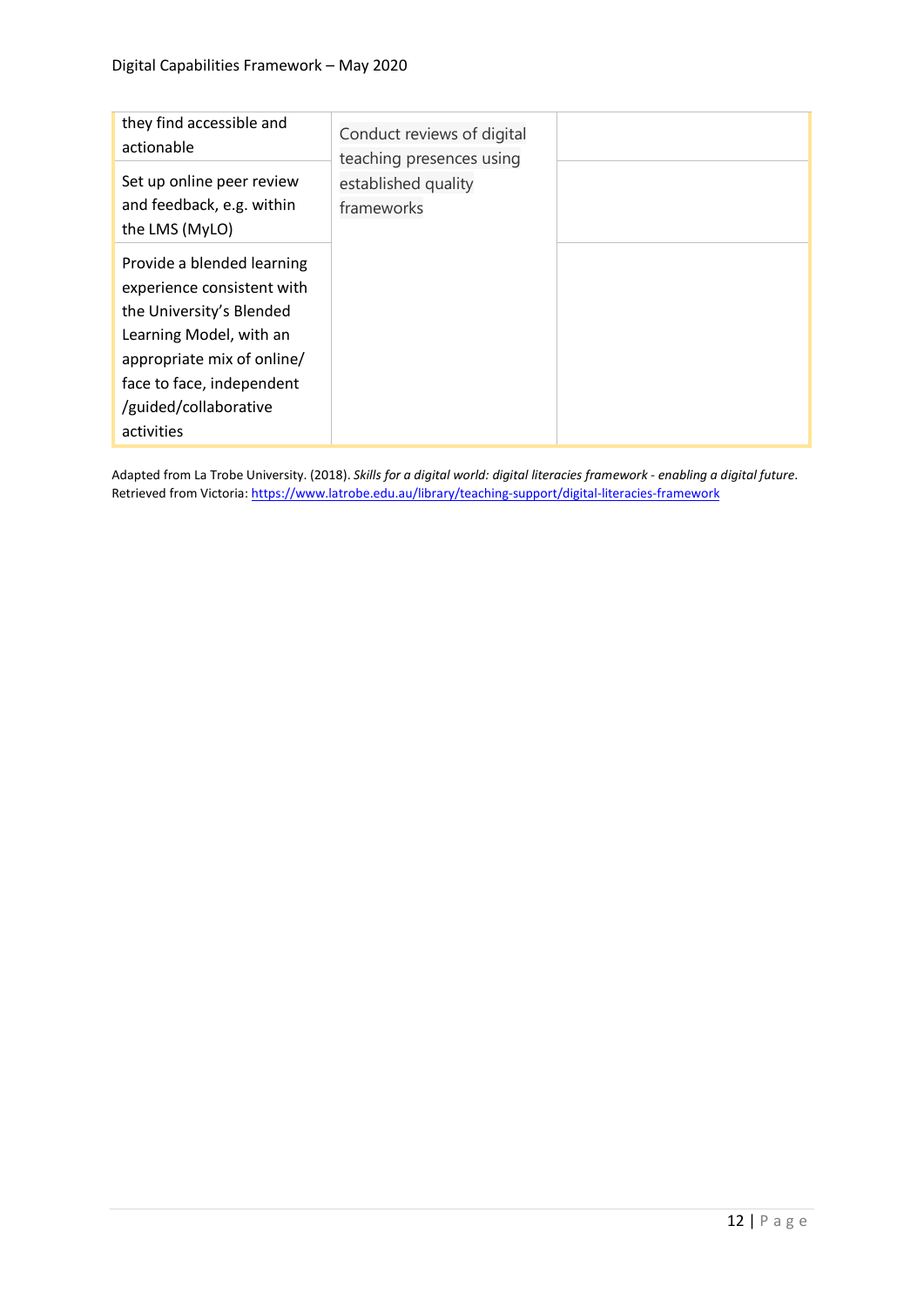| they find accessible and<br>actionable                                                                                                                                                                            | Conduct reviews of digital<br>teaching presences using |  |
|-------------------------------------------------------------------------------------------------------------------------------------------------------------------------------------------------------------------|--------------------------------------------------------|--|
| Set up online peer review<br>and feedback, e.g. within<br>the LMS (MyLO)                                                                                                                                          | established quality<br>frameworks                      |  |
| Provide a blended learning<br>experience consistent with<br>the University's Blended<br>Learning Model, with an<br>appropriate mix of online/<br>face to face, independent<br>/guided/collaborative<br>activities |                                                        |  |

Adapted from La Trobe University. (2018). *Skills for a digital world: digital literacies framework - enabling a digital future*. Retrieved from Victoria: https://www.latrobe.edu.au/library/teaching-support/digital-literacies-framework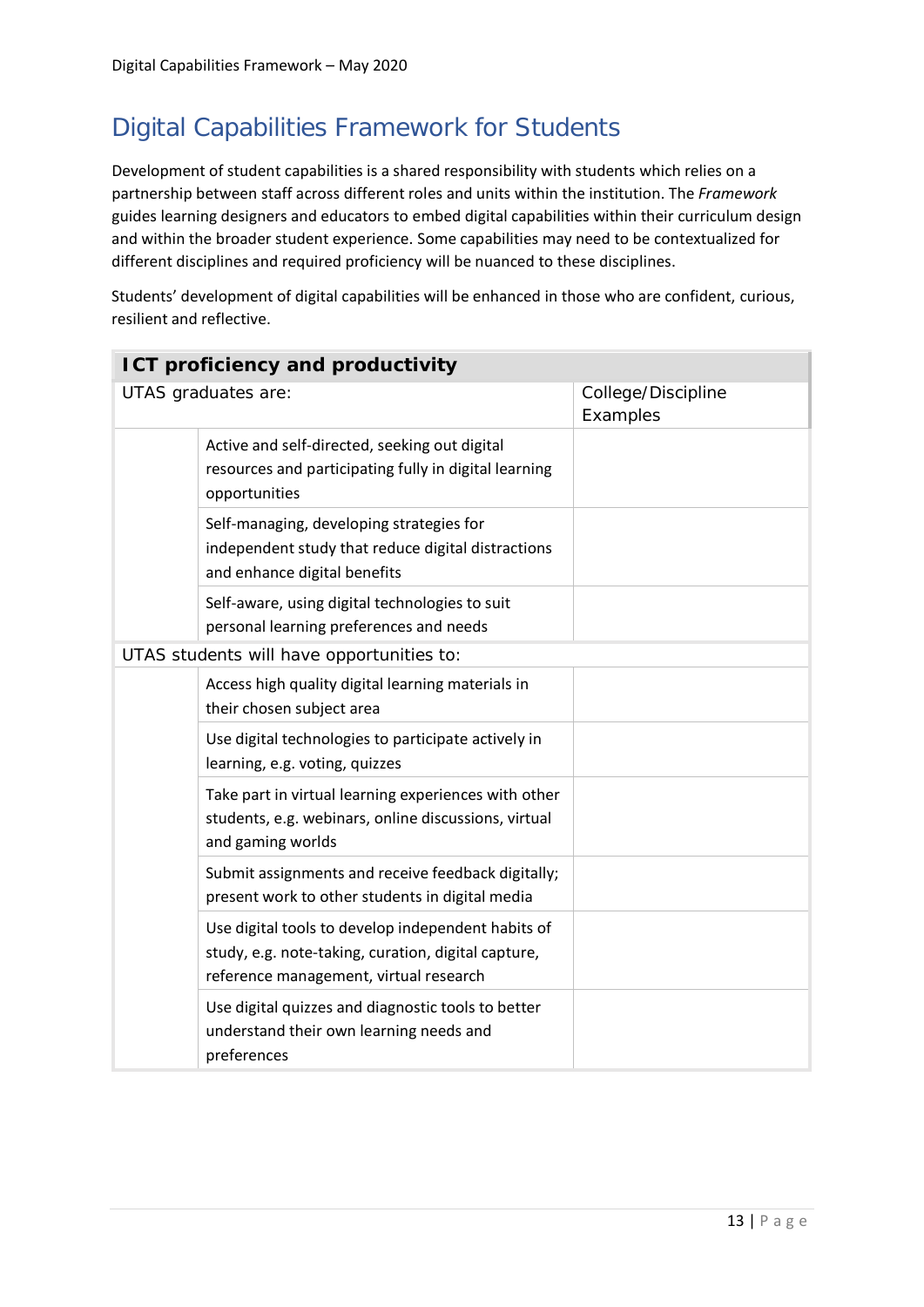### <span id="page-12-0"></span>Digital Capabilities Framework for Students

Development of student capabilities is a shared responsibility with students which relies on a partnership between staff across different roles and units within the institution. The *Framework* guides learning designers and educators to embed digital capabilities within their curriculum design and within the broader student experience. Some capabilities may need to be contextualized for different disciplines and required proficiency will be nuanced to these disciplines.

Students' development of digital capabilities will be enhanced in those who are confident, curious, resilient and reflective.

| <b>ICT proficiency and productivity</b> |                                                                                                                                                     |                                |
|-----------------------------------------|-----------------------------------------------------------------------------------------------------------------------------------------------------|--------------------------------|
| UTAS graduates are:                     |                                                                                                                                                     | College/Discipline<br>Examples |
|                                         | Active and self-directed, seeking out digital<br>resources and participating fully in digital learning<br>opportunities                             |                                |
|                                         | Self-managing, developing strategies for<br>independent study that reduce digital distractions<br>and enhance digital benefits                      |                                |
|                                         | Self-aware, using digital technologies to suit<br>personal learning preferences and needs                                                           |                                |
|                                         | UTAS students will have opportunities to:                                                                                                           |                                |
|                                         | Access high quality digital learning materials in<br>their chosen subject area                                                                      |                                |
|                                         | Use digital technologies to participate actively in<br>learning, e.g. voting, quizzes                                                               |                                |
|                                         | Take part in virtual learning experiences with other<br>students, e.g. webinars, online discussions, virtual<br>and gaming worlds                   |                                |
|                                         | Submit assignments and receive feedback digitally;<br>present work to other students in digital media                                               |                                |
|                                         | Use digital tools to develop independent habits of<br>study, e.g. note-taking, curation, digital capture,<br>reference management, virtual research |                                |
|                                         | Use digital quizzes and diagnostic tools to better<br>understand their own learning needs and<br>preferences                                        |                                |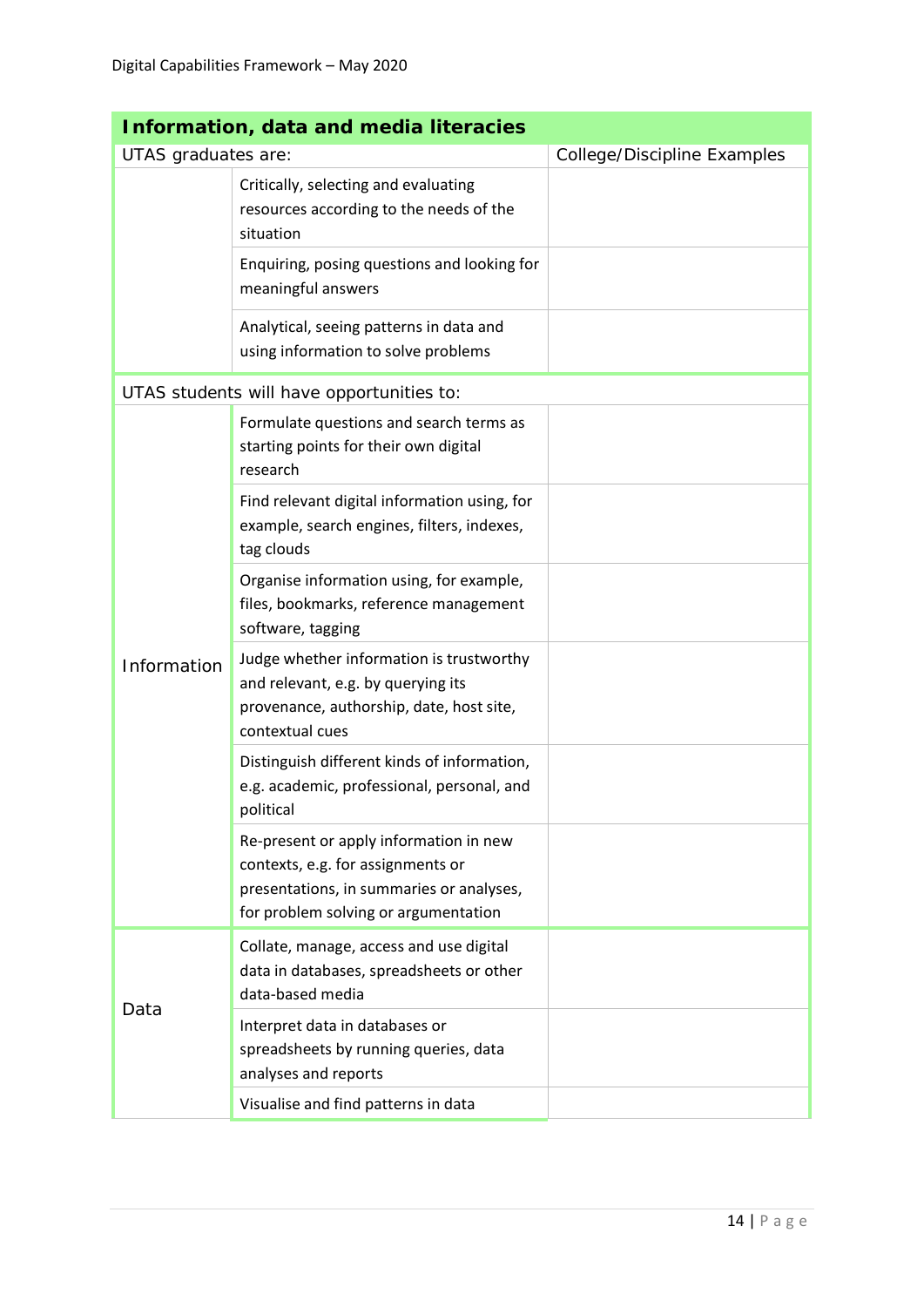| <b>Information, data and media literacies</b> |                                                                                                                                                                 |                             |  |
|-----------------------------------------------|-----------------------------------------------------------------------------------------------------------------------------------------------------------------|-----------------------------|--|
| UTAS graduates are:                           |                                                                                                                                                                 | College/Discipline Examples |  |
|                                               | Critically, selecting and evaluating<br>resources according to the needs of the<br>situation                                                                    |                             |  |
|                                               | Enquiring, posing questions and looking for<br>meaningful answers                                                                                               |                             |  |
|                                               | Analytical, seeing patterns in data and<br>using information to solve problems                                                                                  |                             |  |
|                                               | UTAS students will have opportunities to:                                                                                                                       |                             |  |
|                                               | Formulate questions and search terms as<br>starting points for their own digital<br>research                                                                    |                             |  |
|                                               | Find relevant digital information using, for<br>example, search engines, filters, indexes,<br>tag clouds                                                        |                             |  |
|                                               | Organise information using, for example,<br>files, bookmarks, reference management<br>software, tagging                                                         |                             |  |
| Information                                   | Judge whether information is trustworthy<br>and relevant, e.g. by querying its<br>provenance, authorship, date, host site,<br>contextual cues                   |                             |  |
|                                               | Distinguish different kinds of information,<br>e.g. academic, professional, personal, and<br>political                                                          |                             |  |
|                                               | Re-present or apply information in new<br>contexts, e.g. for assignments or<br>presentations, in summaries or analyses,<br>for problem solving or argumentation |                             |  |
| Data                                          | Collate, manage, access and use digital<br>data in databases, spreadsheets or other<br>data-based media                                                         |                             |  |
|                                               | Interpret data in databases or<br>spreadsheets by running queries, data<br>analyses and reports                                                                 |                             |  |
|                                               | Visualise and find patterns in data                                                                                                                             |                             |  |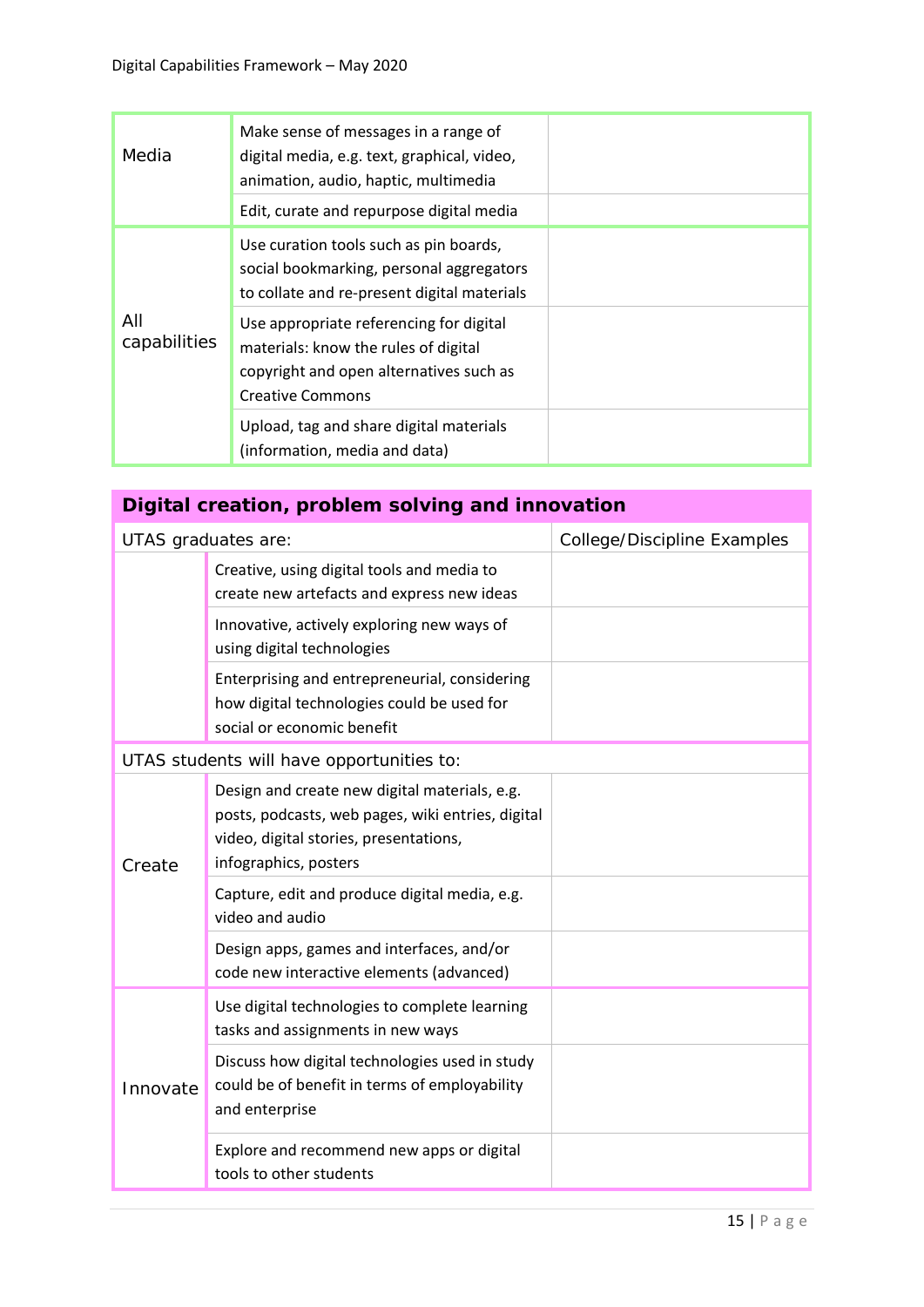| Media               | Make sense of messages in a range of<br>digital media, e.g. text, graphical, video,<br>animation, audio, haptic, multimedia                           |  |
|---------------------|-------------------------------------------------------------------------------------------------------------------------------------------------------|--|
|                     | Edit, curate and repurpose digital media                                                                                                              |  |
| All<br>capabilities | Use curation tools such as pin boards,<br>social bookmarking, personal aggregators<br>to collate and re-present digital materials                     |  |
|                     | Use appropriate referencing for digital<br>materials: know the rules of digital<br>copyright and open alternatives such as<br><b>Creative Commons</b> |  |
|                     | Upload, tag and share digital materials<br>(information, media and data)                                                                              |  |

# **Digital creation, problem solving and innovation**

| UTAS graduates are: |                                                                                                                                                                       | College/Discipline Examples |
|---------------------|-----------------------------------------------------------------------------------------------------------------------------------------------------------------------|-----------------------------|
|                     | Creative, using digital tools and media to<br>create new artefacts and express new ideas                                                                              |                             |
|                     | Innovative, actively exploring new ways of<br>using digital technologies                                                                                              |                             |
|                     | Enterprising and entrepreneurial, considering<br>how digital technologies could be used for<br>social or economic benefit                                             |                             |
|                     | UTAS students will have opportunities to:                                                                                                                             |                             |
| Create              | Design and create new digital materials, e.g.<br>posts, podcasts, web pages, wiki entries, digital<br>video, digital stories, presentations,<br>infographics, posters |                             |
|                     | Capture, edit and produce digital media, e.g.<br>video and audio                                                                                                      |                             |
|                     | Design apps, games and interfaces, and/or<br>code new interactive elements (advanced)                                                                                 |                             |
| Innovate            | Use digital technologies to complete learning<br>tasks and assignments in new ways                                                                                    |                             |
|                     | Discuss how digital technologies used in study<br>could be of benefit in terms of employability<br>and enterprise                                                     |                             |
|                     | Explore and recommend new apps or digital<br>tools to other students                                                                                                  |                             |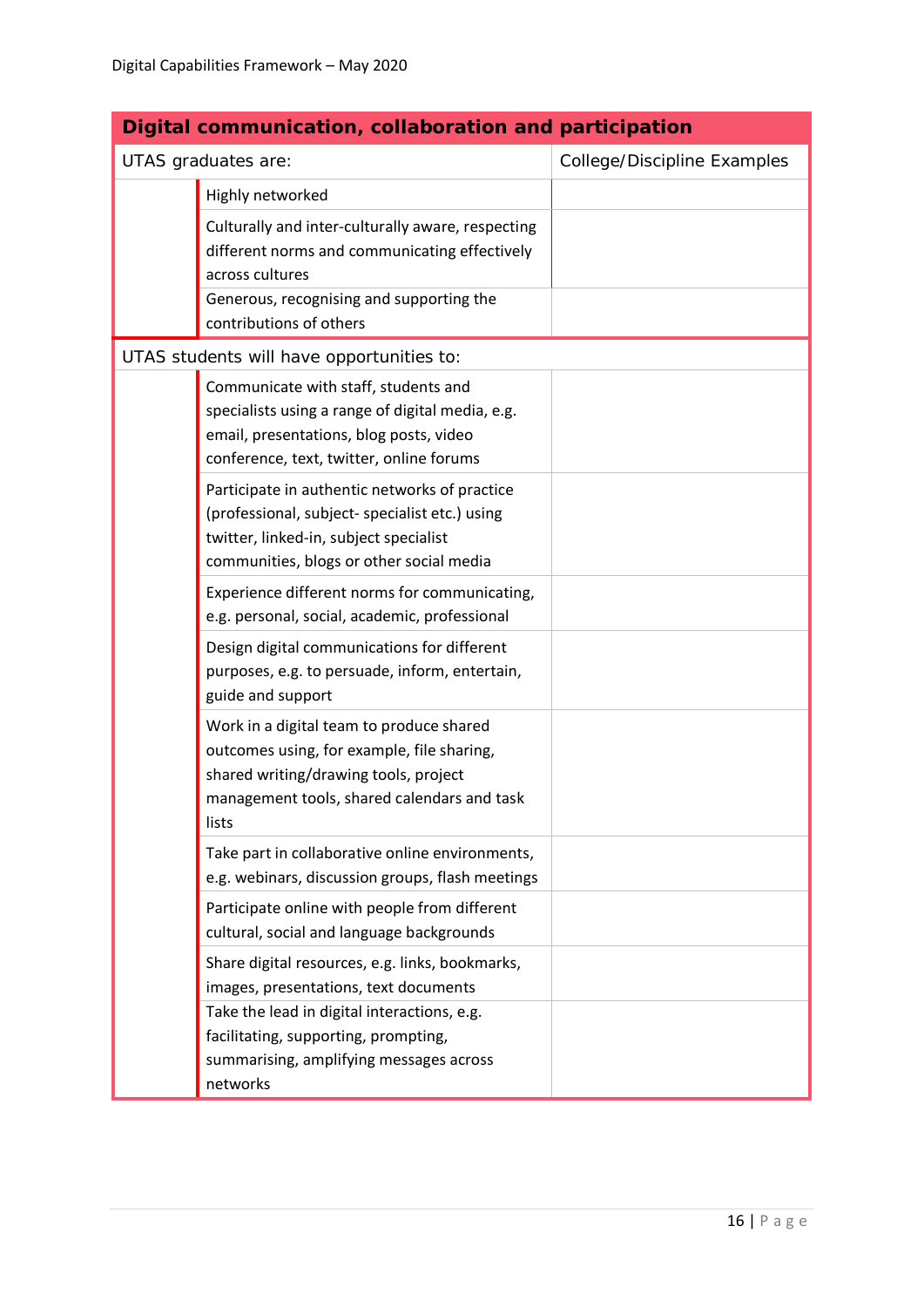| Digital communication, collaboration and participation |                                                                                                                                                                                         |                             |
|--------------------------------------------------------|-----------------------------------------------------------------------------------------------------------------------------------------------------------------------------------------|-----------------------------|
|                                                        | UTAS graduates are:                                                                                                                                                                     | College/Discipline Examples |
|                                                        | Highly networked                                                                                                                                                                        |                             |
|                                                        | Culturally and inter-culturally aware, respecting<br>different norms and communicating effectively<br>across cultures                                                                   |                             |
|                                                        | Generous, recognising and supporting the<br>contributions of others                                                                                                                     |                             |
|                                                        | UTAS students will have opportunities to:                                                                                                                                               |                             |
|                                                        | Communicate with staff, students and<br>specialists using a range of digital media, e.g.<br>email, presentations, blog posts, video<br>conference, text, twitter, online forums         |                             |
|                                                        | Participate in authentic networks of practice<br>(professional, subject- specialist etc.) using<br>twitter, linked-in, subject specialist<br>communities, blogs or other social media   |                             |
|                                                        | Experience different norms for communicating,<br>e.g. personal, social, academic, professional                                                                                          |                             |
|                                                        | Design digital communications for different<br>purposes, e.g. to persuade, inform, entertain,<br>guide and support                                                                      |                             |
|                                                        | Work in a digital team to produce shared<br>outcomes using, for example, file sharing,<br>shared writing/drawing tools, project<br>management tools, shared calendars and task<br>lists |                             |
|                                                        | Take part in collaborative online environments,<br>e.g. webinars, discussion groups, flash meetings                                                                                     |                             |
|                                                        | Participate online with people from different<br>cultural, social and language backgrounds                                                                                              |                             |
|                                                        | Share digital resources, e.g. links, bookmarks,<br>images, presentations, text documents                                                                                                |                             |
|                                                        | Take the lead in digital interactions, e.g.<br>facilitating, supporting, prompting,<br>summarising, amplifying messages across<br>networks                                              |                             |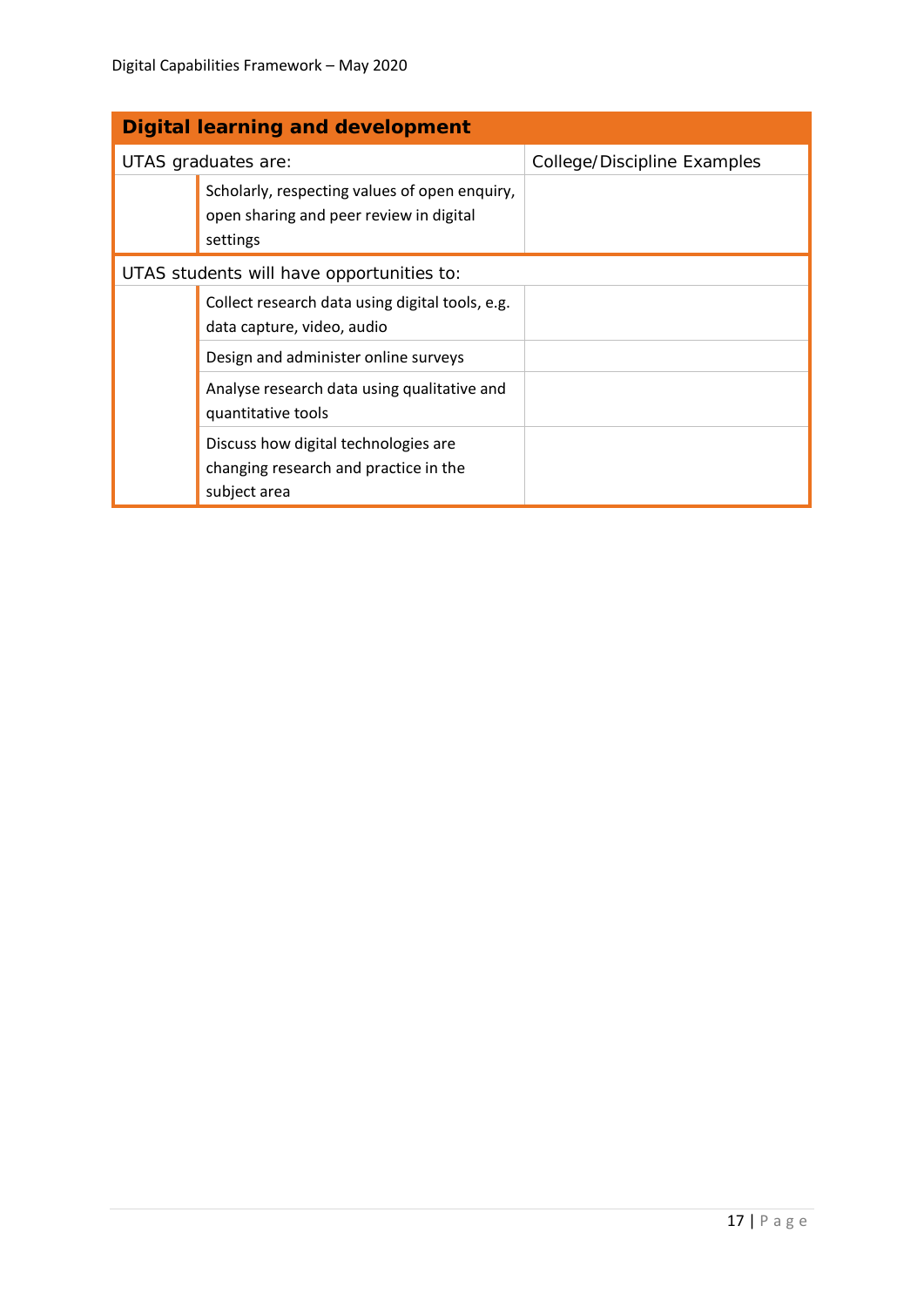| <b>Digital learning and development</b>   |                                                                                                      |                             |
|-------------------------------------------|------------------------------------------------------------------------------------------------------|-----------------------------|
| UTAS graduates are:                       |                                                                                                      | College/Discipline Examples |
|                                           | Scholarly, respecting values of open enquiry,<br>open sharing and peer review in digital<br>settings |                             |
| UTAS students will have opportunities to: |                                                                                                      |                             |
|                                           | Collect research data using digital tools, e.g.<br>data capture, video, audio                        |                             |
|                                           | Design and administer online surveys                                                                 |                             |
|                                           | Analyse research data using qualitative and<br>quantitative tools                                    |                             |
|                                           | Discuss how digital technologies are<br>changing research and practice in the<br>subject area        |                             |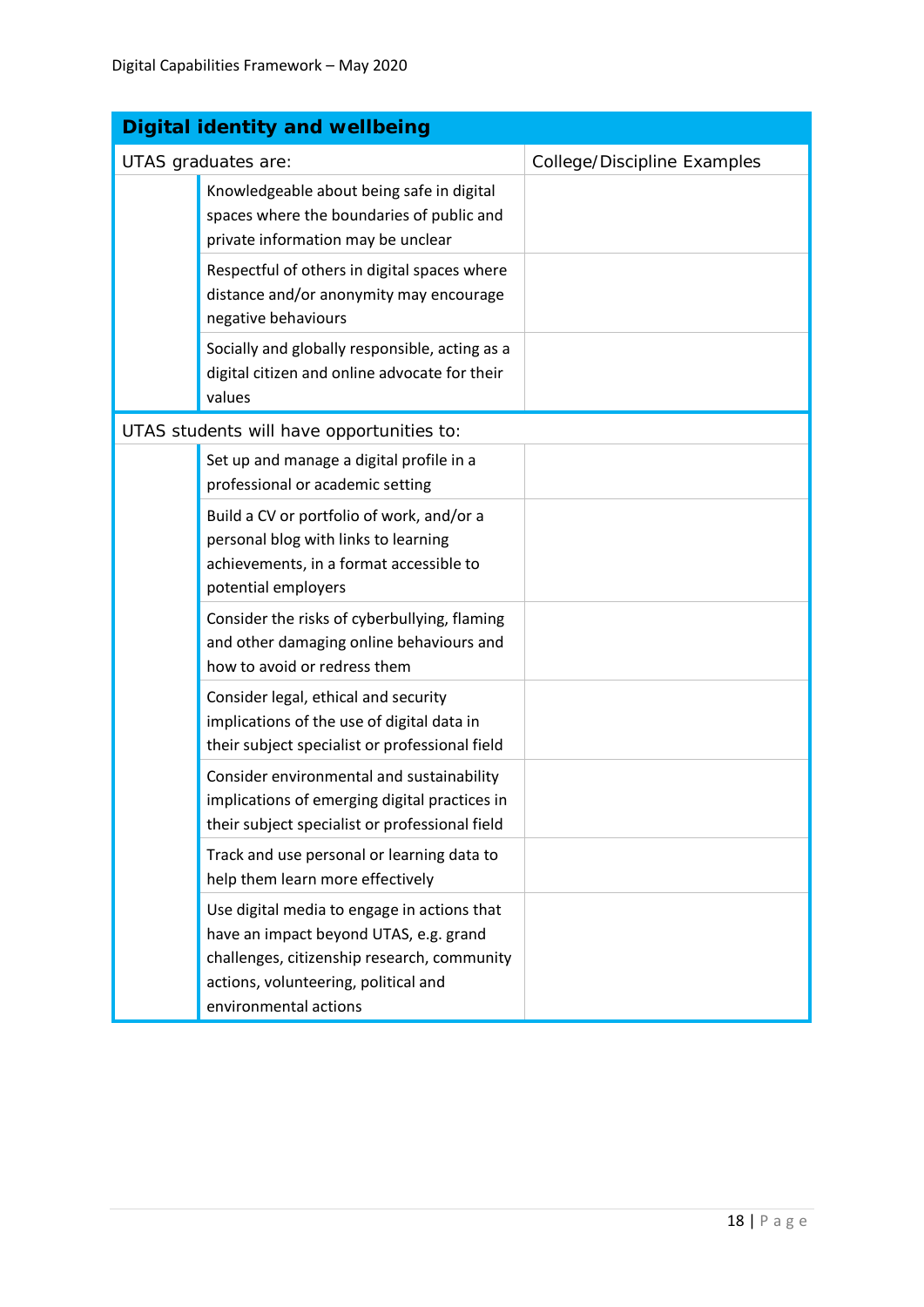| <b>Digital identity and wellbeing</b> |                                                                                                                                                                                                       |                             |
|---------------------------------------|-------------------------------------------------------------------------------------------------------------------------------------------------------------------------------------------------------|-----------------------------|
| UTAS graduates are:                   |                                                                                                                                                                                                       | College/Discipline Examples |
|                                       | Knowledgeable about being safe in digital<br>spaces where the boundaries of public and<br>private information may be unclear                                                                          |                             |
|                                       | Respectful of others in digital spaces where<br>distance and/or anonymity may encourage<br>negative behaviours                                                                                        |                             |
|                                       | Socially and globally responsible, acting as a<br>digital citizen and online advocate for their<br>values                                                                                             |                             |
|                                       | UTAS students will have opportunities to:                                                                                                                                                             |                             |
|                                       | Set up and manage a digital profile in a<br>professional or academic setting                                                                                                                          |                             |
|                                       | Build a CV or portfolio of work, and/or a<br>personal blog with links to learning<br>achievements, in a format accessible to<br>potential employers                                                   |                             |
|                                       | Consider the risks of cyberbullying, flaming<br>and other damaging online behaviours and<br>how to avoid or redress them                                                                              |                             |
|                                       | Consider legal, ethical and security<br>implications of the use of digital data in<br>their subject specialist or professional field                                                                  |                             |
|                                       | Consider environmental and sustainability<br>implications of emerging digital practices in<br>their subject specialist or professional field                                                          |                             |
|                                       | Track and use personal or learning data to<br>help them learn more effectively                                                                                                                        |                             |
|                                       | Use digital media to engage in actions that<br>have an impact beyond UTAS, e.g. grand<br>challenges, citizenship research, community<br>actions, volunteering, political and<br>environmental actions |                             |